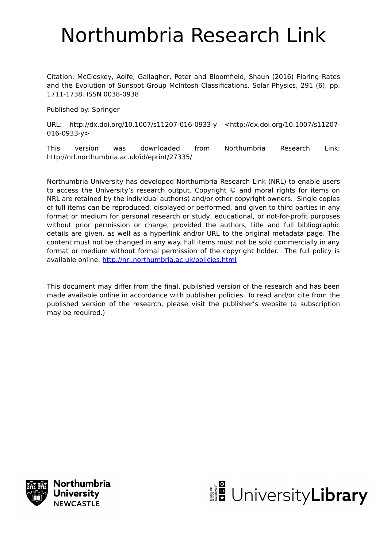# Northumbria Research Link

Citation: McCloskey, Aoife, Gallagher, Peter and Bloomfield, Shaun (2016) Flaring Rates and the Evolution of Sunspot Group McIntosh Classifications. Solar Physics, 291 (6). pp. 1711-1738. ISSN 0038-0938

Published by: Springer

URL: http://dx.doi.org/10.1007/s11207-016-0933-y <http://dx.doi.org/10.1007/s11207- 016-0933-y>

This version was downloaded from Northumbria Research Link: http://nrl.northumbria.ac.uk/id/eprint/27335/

Northumbria University has developed Northumbria Research Link (NRL) to enable users to access the University's research output. Copyright © and moral rights for items on NRL are retained by the individual author(s) and/or other copyright owners. Single copies of full items can be reproduced, displayed or performed, and given to third parties in any format or medium for personal research or study, educational, or not-for-profit purposes without prior permission or charge, provided the authors, title and full bibliographic details are given, as well as a hyperlink and/or URL to the original metadata page. The content must not be changed in any way. Full items must not be sold commercially in any format or medium without formal permission of the copyright holder. The full policy is available online:<http://nrl.northumbria.ac.uk/policies.html>

This document may differ from the final, published version of the research and has been made available online in accordance with publisher policies. To read and/or cite from the published version of the research, please visit the publisher's website (a subscription may be required.)



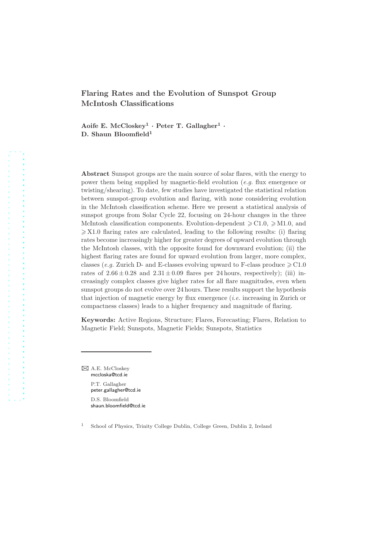# Flaring Rates and the Evolution of Sunspot Group McIntosh Classifications

Aoife E. McCloskey<sup>1</sup> · Peter T. Gallagher<sup>1</sup> · D. Shaun Bloomfield<sup>1</sup>

Abstract Sunspot groups are the main source of solar flares, with the energy to power them being supplied by magnetic-field evolution (e.g. flux emergence or twisting/shearing). To date, few studies have investigated the statistical relation between sunspot-group evolution and flaring, with none considering evolution in the McIntosh classification scheme. Here we present a statistical analysis of sunspot groups from Solar Cycle 22, focusing on 24-hour changes in the three McIntosh classification components. Evolution-dependent  $\geq C1.0$ ,  $\geq M1.0$ , and  $\geq$  X1.0 flaring rates are calculated, leading to the following results: (i) flaring rates become increasingly higher for greater degrees of upward evolution through the McIntosh classes, with the opposite found for downward evolution; (ii) the highest flaring rates are found for upward evolution from larger, more complex, classes (e.g. Zurich D- and E-classes evolving upward to F-class produce  $\geq C1.0$ rates of  $2.66 \pm 0.28$  and  $2.31 \pm 0.09$  flares per 24 hours, respectively); (iii) increasingly complex classes give higher rates for all flare magnitudes, even when sunspot groups do not evolve over 24 hours. These results support the hypothesis that injection of magnetic energy by flux emergence (*i.e.* increasing in Zurich or compactness classes) leads to a higher frequency and magnitude of flaring.

Keywords: Active Regions, Structure; Flares, Forecasting; Flares, Relation to Magnetic Field; Sunspots, Magnetic Fields; Sunspots, Statistics

 $\boxtimes$  A.E. McCloskey [mccloska@tcd.ie](mailto:mccloska@tcd.ie) P.T. Gallagher [peter.gallagher@tcd.ie](mailto:peter.gallagher@tcd.ie) D.S. Bloomfield [shaun.bloomfield@tcd.ie](mailto:shaun.bloomfield@tcd.ie)

<sup>1</sup> School of Physics, Trinity College Dublin, College Green, Dublin 2, Ireland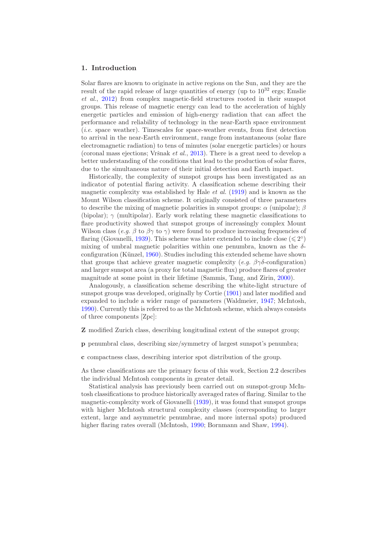## <span id="page-2-0"></span>1. Introduction

Solar flares are known to originate in active regions on the Sun, and they are the result of the rapid release of large quantities of energy (up to  $10^{32}$  ergs; Emslie et al., [2012](#page-30-0)) from complex magnetic-field structures rooted in their sunspot groups. This release of magnetic energy can lead to the acceleration of highly energetic particles and emission of high-energy radiation that can affect the performance and reliability of technology in the near-Earth space environment (i.e. space weather). Timescales for space-weather events, from first detection to arrival in the near-Earth environment, range from instantaneous (solar flare electromagnetic radiation) to tens of minutes (solar energetic particles) or hours (coronal mass ejections; Vršnak *et al.*, [2013\)](#page-30-1). There is a great need to develop a better understanding of the conditions that lead to the production of solar flares, due to the simultaneous nature of their initial detection and Earth impact.

Historically, the complexity of sunspot groups has been investigated as an indicator of potential flaring activity. A classification scheme describing their magnetic complexity was established by Hale et al. [\(1919\)](#page-30-2) and is known as the Mount Wilson classification scheme. It originally consisted of three parameters to describe the mixing of magnetic polarities in sunspot groups:  $\alpha$  (unipolar);  $\beta$ (bipolar);  $\gamma$  (multipolar). Early work relating these magnetic classifications to flare productivity showed that sunspot groups of increasingly complex Mount Wilson class (e.g. β to  $\beta\gamma$  to  $\gamma$ ) were found to produce increasing frequencies of flaring (Giovanelli, [1939\)](#page-30-3). This scheme was later extended to include close ( $\leq 2^{\circ}$ ) mixing of umbral magnetic polarities within one penumbra, known as the  $\delta$ -configuration (Künzel, [1960\)](#page-30-4). Studies including this extended scheme have shown that groups that achieve greater magnetic complexity (e.g.  $\beta\gamma\delta$ -configuration) and larger sunspot area (a proxy for total magnetic flux) produce flares of greater magnitude at some point in their lifetime (Sammis, Tang, and Zirin, [2000\)](#page-30-5).

Analogously, a classification scheme describing the white-light structure of sunspot groups was developed, originally by Cortie [\(1901\)](#page-30-6) and later modified and expanded to include a wider range of parameters (Waldmeier, [1947;](#page-30-7) McIntosh, [1990\)](#page-30-8). Currently this is referred to as the McIntosh scheme, which always consists of three components [Zpc]:

Z modified Zurich class, describing longitudinal extent of the sunspot group;

p penumbral class, describing size/symmetry of largest sunspot's penumbra;

c compactness class, describing interior spot distribution of the group.

As these classifications are the primary focus of this work, Section [2.2](#page-4-0) describes the individual McIntosh components in greater detail.

Statistical analysis has previously been carried out on sunspot-group McIntosh classifications to produce historically averaged rates of flaring. Similar to the magnetic-complexity work of Giovanelli [\(1939](#page-30-3)), it was found that sunspot groups with higher McIntosh structural complexity classes (corresponding to larger extent, large and asymmetric penumbrae, and more internal spots) produced higher flaring rates overall (McIntosh, [1990](#page-30-8); Bornmann and Shaw, [1994](#page-30-9)).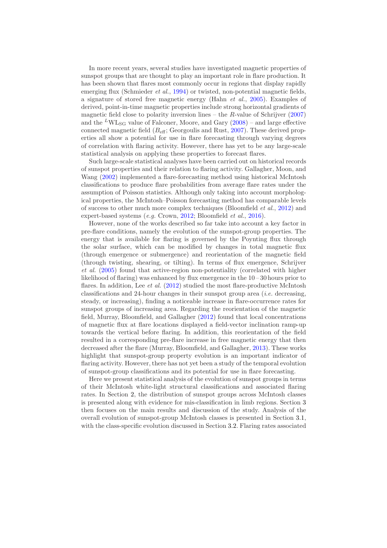In more recent years, several studies have investigated magnetic properties of sunspot groups that are thought to play an important role in flare production. It has been shown that flares most commonly occur in regions that display rapidly emerging flux (Schmieder *et al.*, [1994](#page-30-10)) or twisted, non-potential magnetic fields, a signature of stored free magnetic energy (Hahn et al., [2005\)](#page-30-11). Examples of derived, point-in-time magnetic properties include strong horizontal gradients of magnetic field close to polarity inversion lines – the  $R$ -value of Schrijver [\(2007\)](#page-30-12) and the <sup>L</sup>WL<sub>SG</sub> value of Falconer, Moore, and Gary [\(2008\)](#page-30-13) – and large effective connected magnetic field  $(B_{\text{eff}};$  Georgoulis and Rust, [2007](#page-30-14)). These derived properties all show a potential for use in flare forecasting through varying degrees of correlation with flaring activity. However, there has yet to be any large-scale statistical analysis on applying these properties to forecast flares.

Such large-scale statistical analyses have been carried out on historical records of sunspot properties and their relation to flaring activity. Gallagher, Moon, and Wang [\(2002](#page-30-15)) implemented a flare-forecasting method using historical McIntosh classifications to produce flare probabilities from average flare rates under the assumption of Poisson statistics. Although only taking into account morphological properties, the McIntosh–Poisson forecasting method has comparable levels of success to other much more complex techniques (Bloomfield et al., [2012\)](#page-30-16) and expert-based systems (e.g. Crown, [2012;](#page-30-17) Bloomfield et al., [2016](#page-30-18)).

However, none of the works described so far take into account a key factor in pre-flare conditions, namely the evolution of the sunspot-group properties. The energy that is available for flaring is governed by the Poynting flux through the solar surface, which can be modified by changes in total magnetic flux (through emergence or submergence) and reorientation of the magnetic field (through twisting, shearing, or tilting). In terms of flux emergence, Schrijver et al. [\(2005\)](#page-30-19) found that active-region non-potentiality (correlated with higher likelihood of flaring) was enhanced by flux emergence in the  $10-30$  hours prior to flares. In addition, Lee *et al.*  $(2012)$  $(2012)$  studied the most flare-productive McIntosh classifications and 24-hour changes in their sunspot group area *(i.e.* decreasing, steady, or increasing), finding a noticeable increase in flare-occurrence rates for sunspot groups of increasing area. Regarding the reorientation of the magnetic field, Murray, Bloomfield, and Gallagher [\(2012\)](#page-30-21) found that local concentrations of magnetic flux at flare locations displayed a field-vector inclination ramp-up towards the vertical before flaring. In addition, this reorientation of the field resulted in a corresponding pre-flare increase in free magnetic energy that then decreased after the flare (Murray, Bloomfield, and Gallagher, [2013](#page-30-22)). These works highlight that sunspot-group property evolution is an important indicator of flaring activity. However, there has not yet been a study of the temporal evolution of sunspot-group classifications and its potential for use in flare forecasting.

Here we present statistical analysis of the evolution of sunspot groups in terms of their McIntosh white-light structural classifications and associated flaring rates. In Section [2,](#page-4-1) the distribution of sunspot groups across McIntosh classes is presented along with evidence for mis-classification in limb regions. Section [3](#page-8-0) then focuses on the main results and discussion of the study. Analysis of the overall evolution of sunspot-group McIntosh classes is presented in Section [3.1,](#page-8-1) with the class-specific evolution discussed in Section [3.2.](#page-9-0) Flaring rates associated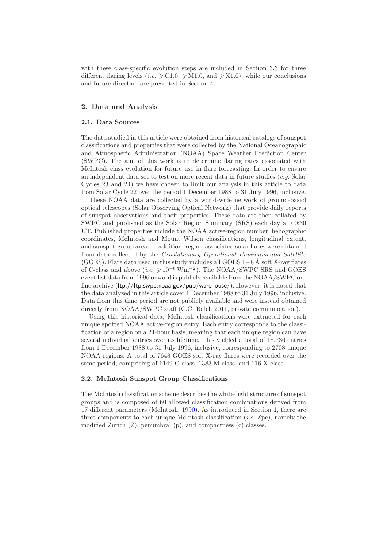with these class-specific evolution steps are included in Section [3.3](#page-12-0) for three different flaring levels (*i.e.*  $\geq$  C1.0,  $\geq$  M1.0, and  $\geq$  X1.0), while our conclusions and future direction are presented in Section [4.](#page-15-0)

## <span id="page-4-1"></span>2. Data and Analysis

#### 2.1. Data Sources

The data studied in this article were obtained from historical catalogs of sunspot classifications and properties that were collected by the National Oceanographic and Atmospheric Administration (NOAA) Space Weather Prediction Center (SWPC). The aim of this work is to determine flaring rates associated with McIntosh class evolution for future use in flare forecasting. In order to ensure an independent data set to test on more recent data in future studies  $(e.g.$  Solar Cycles 23 and 24) we have chosen to limit our analysis in this article to data from Solar Cycle 22 over the period 1 December 1988 to 31 July 1996, inclusive.

These NOAA data are collected by a world-wide network of ground-based optical telescopes (Solar Observing Optical Network) that provide daily reports of sunspot observations and their properties. These data are then collated by SWPC and published as the Solar Region Summary (SRS) each day at 00:30 UT. Published properties include the NOAA active-region number, heliographic coordinates, McIntosh and Mount Wilson classifications, longitudinal extent, and sunspot-group area. In addition, region-associated solar flares were obtained from data collected by the Geostationary Operational Environmental Satellite (GOES). Flare data used in this study includes all GOES  $1-8\text{ Å}$  soft X-ray flares of C-class and above  $(i.e. \geq 10^{-6} \,\mathrm{Wm^{-2}})$ . The NOAA/SWPC SRS and GOES event list data from 1996 onward is publicly available from the NOAA/SWPC online archive (<ftp://ftp.swpc.noaa.gov/pub/warehouse/>). However, it is noted that the data analyzed in this article cover 1 December 1988 to 31 July 1996, inclusive. Data from this time period are not publicly available and were instead obtained directly from NOAA/SWPC staff (C.C. Balch 2011, private communication).

Using this historical data, McIntosh classifications were extracted for each unique spotted NOAA active-region entry. Each entry corresponds to the classification of a region on a 24-hour basis, meaning that each unique region can have several individual entries over its lifetime. This yielded a total of 18,736 entries from 1 December 1988 to 31 July 1996, inclusive, corresponding to 2708 unique NOAA regions. A total of 7648 GOES soft X-ray flares were recorded over the same period, comprising of 6149 C-class, 1383 M-class, and 116 X-class.

#### <span id="page-4-0"></span>2.2. McIntosh Sunspot Group Classifications

The McIntosh classification scheme describes the white-light structure of sunspot groups and is composed of 60 allowed classification combinations derived from 17 different parameters (McIntosh, [1990\)](#page-30-8). As introduced in Section [1,](#page-2-0) there are three components to each unique McIntosh classification (i.e. Zpc), namely the modified Zurich  $(Z)$ , penumbral  $(p)$ , and compactness  $(c)$  classes.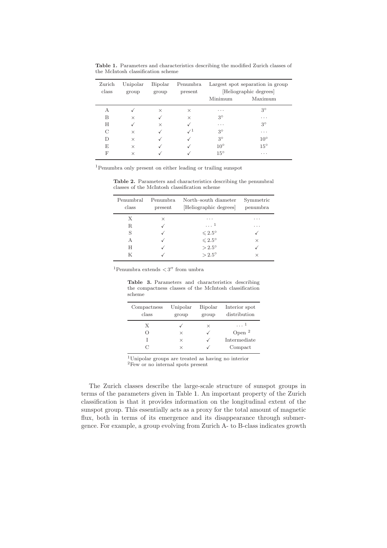| Zurich<br>class | Unipolar<br>group | Bipolar<br>group | Penumbra<br>present |              | Largest spot separation in group<br>[Heliographic degrees] |
|-----------------|-------------------|------------------|---------------------|--------------|------------------------------------------------------------|
|                 |                   |                  |                     | Minimum      | Maximum                                                    |
| А               |                   | $\times$         | $\times$            | $\cdots$     | $3^{\circ}$                                                |
| В               | $\times$          |                  | $\times$            | $3^{\circ}$  | $\cdots$                                                   |
| Н               |                   | $\times$         |                     | .            | $3^{\circ}$                                                |
| С               | $\times$          |                  | $\mathcal{N}^1$     | $3^{\circ}$  | $\cdots$                                                   |
| D               | $\times$          |                  |                     | $3^{\circ}$  | $10^{\circ}$                                               |
| E               | $\times$          |                  |                     | $10^{\circ}$ | $15^{\circ}$                                               |
| F               | $\times$          |                  |                     | $15^{\circ}$ | $\cdots$                                                   |

<span id="page-5-0"></span>Table 1. Parameters and characteristics describing the modified Zurich classes of the McIntosh classification scheme

<sup>1</sup>Penumbra only present on either leading or trailing sunspot

Table 2. Parameters and characteristics describing the penumbral classes of the McIntosh classification scheme

<span id="page-5-1"></span>

| Penumbral<br>class | Penumbra<br>present | North-south diameter<br>[Heliographic degrees] | Symmetric<br>penumbra |
|--------------------|---------------------|------------------------------------------------|-----------------------|
| Х                  | $\times$            | .                                              | .                     |
| R.                 |                     | $\ldots$ <sup>1</sup>                          | .                     |
| S                  |                     | $\leqslant$ 2.5 $^{\circ}$                     |                       |
| A                  |                     | $\leqslant$ 2.5 $^{\circ}$                     | $\times$              |
| H                  |                     | $>2.5^{\circ}$                                 |                       |
| K                  |                     | $>2.5^{\circ}$                                 | $\times$              |

<sup>1</sup>Penumbra extends  $\langle 3''$  from umbra

<span id="page-5-2"></span>Table 3. Parameters and characteristics describing the compactness classes of the McIntosh classification scheme

| Compactness<br>class | Unipolar<br>group | Bipolar<br>group | Interior spot<br>distribution |
|----------------------|-------------------|------------------|-------------------------------|
| Х                    |                   | ×                | $\ldots$ <sup>1</sup>         |
|                      | $\times$          |                  | Open $^2$                     |
|                      | $\times$          |                  | Intermediate                  |
|                      | ×                 |                  | Compact                       |
|                      |                   |                  |                               |

<sup>1</sup>Unipolar groups are treated as having no interior <sup>2</sup>Few or no internal spots present

The Zurich classes describe the large-scale structure of sunspot groups in terms of the parameters given in Table [1.](#page-5-0) An important property of the Zurich classification is that it provides information on the longitudinal extent of the sunspot group. This essentially acts as a proxy for the total amount of magnetic flux, both in terms of its emergence and its disappearance through submergence. For example, a group evolving from Zurich A- to B-class indicates growth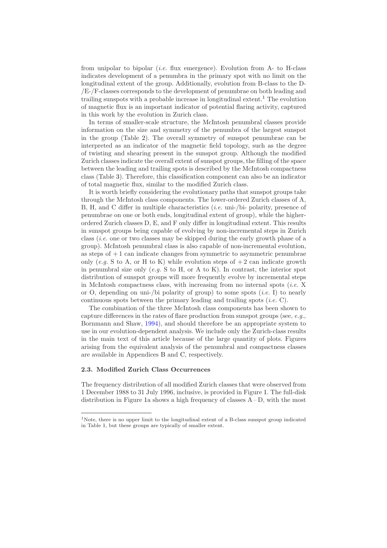from unipolar to bipolar (i.e. flux emergence). Evolution from A- to H-class indicates development of a penumbra in the primary spot with no limit on the longitudinal extent of the group. Additionally, evolution from B-class to the D- /E-/F-classes corresponds to the development of penumbrae on both leading and trailing sunspots with a probable increase in longitudinal extent.<sup>[1](#page-6-0)</sup> The evolution of magnetic flux is an important indicator of potential flaring activity, captured in this work by the evolution in Zurich class.

In terms of smaller-scale structure, the McIntosh penumbral classes provide information on the size and symmetry of the penumbra of the largest sunspot in the group (Table [2\)](#page-5-1). The overall symmetry of sunspot penumbrae can be interpreted as an indicator of the magnetic field topology, such as the degree of twisting and shearing present in the sunspot group. Although the modified Zurich classes indicate the overall extent of sunspot groups, the filling of the space between the leading and trailing spots is described by the McIntosh compactness class (Table [3\)](#page-5-2). Therefore, this classification component can also be an indicator of total magnetic flux, similar to the modified Zurich class.

It is worth briefly considering the evolutionary paths that sunspot groups take through the McIntosh class components. The lower-ordered Zurich classes of A, B, H, and C differ in multiple characteristics  $(i.e.$  uni-/bi- polarity, presence of penumbrae on one or both ends, longitudinal extent of group), while the higherordered Zurich classes D, E, and F only differ in longitudinal extent. This results in sunspot groups being capable of evolving by non-incremental steps in Zurich class (i.e. one or two classes may be skipped during the early growth phase of a group). McIntosh penumbral class is also capable of non-incremental evolution, as steps of  $+1$  can indicate changes from symmetric to asymmetric penumbrae only (e.g. S to A, or H to K) while evolution steps of  $+2$  can indicate growth in penumbral size only (e.g. S to H, or A to K). In contrast, the interior spot distribution of sunspot groups will more frequently evolve by incremental steps in McIntosh compactness class, with increasing from no internal spots  $(i.e. X)$ or O, depending on uni-/bi polarity of group) to some spots  $(i.e. 1)$  to nearly continuous spots between the primary leading and trailing spots  $(i.e. C)$ .

The combination of the three McIntosh class components has been shown to capture differences in the rates of flare production from sunspot groups (see, e.g., Bornmann and Shaw, [1994](#page-30-9)), and should therefore be an appropriate system to use in our evolution-dependent analysis. We include only the Zurich-class results in the main text of this article because of the large quantity of plots. Figures arising from the equivalent analysis of the penumbral and compactness classes are available in Appendices [B](#page-21-0) and [C,](#page-26-0) respectively.

## <span id="page-6-1"></span>2.3. Modified Zurich Class Occurrences

The frequency distribution of all modified Zurich classes that were observed from 1 December 1988 to 31 July 1996, inclusive, is provided in Figure [1.](#page-7-0) The full-disk distribution in Figure [1a](#page-7-0) shows a high frequency of classes  $A-D$ , with the most

<span id="page-6-0"></span><sup>1</sup>Note, there is no upper limit to the longitudinal extent of a B-class sunspot group indicated in Table [1,](#page-5-0) but these groups are typically of smaller extent.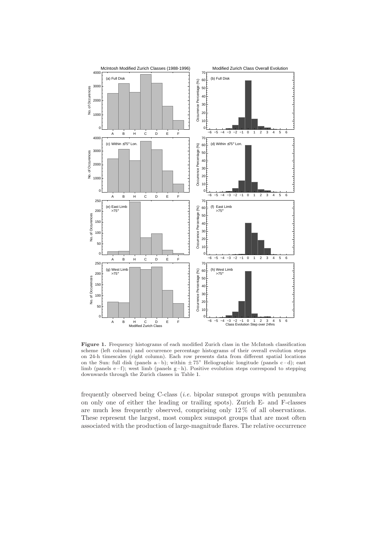

<span id="page-7-0"></span>Figure 1. Frequency histograms of each modified Zurich class in the McIntosh classification scheme (left column) and occurrence percentage histograms of their overall evolution steps on 24-h timescales (right column). Each row presents data from different spatial locations<br>on the Sun: full disk (panels a-b); within  $\pm 75^\circ$  Heliographic longitude (panels c-d); east limb (panels e-f); west limb (panels  $g-h$ ). Positive evolution steps correspond to stepping downwards through the Zurich classes in Table [1.](#page-5-0)

frequently observed being C-class (i.e. bipolar sunspot groups with penumbra on only one of either the leading or trailing spots). Zurich E- and F-classes are much less frequently observed, comprising only 12 % of all observations. These represent the largest, most complex sunspot groups that are most often associated with the production of large-magnitude flares. The relative occurrence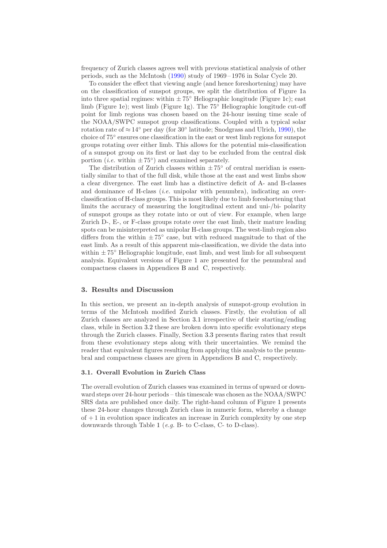frequency of Zurich classes agrees well with previous statistical analysis of other periods, such as the McIntosh [\(1990](#page-30-8)) study of 1969 – 1976 in Solar Cycle 20.

To consider the effect that viewing angle (and hence foreshortening) may have on the classification of sunspot groups, we split the distribution of Figure [1a](#page-7-0) into three spatial regimes: within  $\pm 75^{\circ}$  Heliographic longitude (Figure [1c](#page-7-0)); east limb (Figure [1e](#page-7-0)); west limb (Figure [1g](#page-7-0)). The 75◦ Heliographic longitude cut-off point for limb regions was chosen based on the 24-hour issuing time scale of the NOAA/SWPC sunspot group classifications. Coupled with a typical solar rotation rate of  $\approx 14^{\circ}$  per day (for 30 $^{\circ}$  latitude; Snodgrass and Ulrich, [1990](#page-30-23)), the choice of 75◦ ensures one classification in the east or west limb regions for sunspot groups rotating over either limb. This allows for the potential mis-classification of a sunspot group on its first or last day to be excluded from the central disk portion (*i.e.* within  $\pm 75^{\circ}$ ) and examined separately.

The distribution of Zurich classes within  $\pm 75^{\circ}$  of central meridian is essentially similar to that of the full disk, while those at the east and west limbs show a clear divergence. The east limb has a distinctive deficit of A- and B-classes and dominance of H-class *(i.e.* unipolar with penumbra), indicating an overclassification of H-class groups. This is most likely due to limb foreshortening that limits the accuracy of measuring the longitudinal extent and uni-/bi- polarity of sunspot groups as they rotate into or out of view. For example, when large Zurich D-, E-, or F-class groups rotate over the east limb, their mature leading spots can be misinterpreted as unipolar H-class groups. The west-limb region also differs from the within  $\pm 75^{\circ}$  case, but with reduced magnitude to that of the east limb. As a result of this apparent mis-classification, we divide the data into within  $\pm 75^{\circ}$  Heliographic longitude, east limb, and west limb for all subsequent analysis. Equivalent versions of Figure [1](#page-7-0) are presented for the penumbral and compactness classes in Appendices [B](#page-21-0) and [C,](#page-26-0) respectively.

## <span id="page-8-0"></span>3. Results and Discussion

In this section, we present an in-depth analysis of sunspot-group evolution in terms of the McIntosh modified Zurich classes. Firstly, the evolution of all Zurich classes are analyzed in Section [3.1](#page-8-1) irrespective of their starting/ending class, while in Section [3.2](#page-9-0) these are broken down into specific evolutionary steps through the Zurich classes. Finally, Section [3.3](#page-12-0) presents flaring rates that result from these evolutionary steps along with their uncertainties. We remind the reader that equivalent figures resulting from applying this analysis to the penumbral and compactness classes are given in Appendices [B](#page-21-0) and [C,](#page-26-0) respectively.

#### <span id="page-8-1"></span>3.1. Overall Evolution in Zurich Class

The overall evolution of Zurich classes was examined in terms of upward or downward steps over 24-hour periods – this timescale was chosen as the NOAA/SWPC SRS data are published once daily. The right-hand column of Figure [1](#page-7-0) presents these 24-hour changes through Zurich class in numeric form, whereby a change  $of +1$  in evolution space indicates an increase in Zurich complexity by one step downwards through Table [1](#page-5-0) (e.g. B- to C-class, C- to D-class).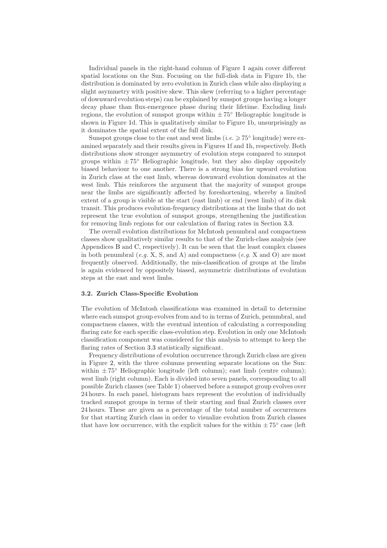Individual panels in the right-hand column of Figure [1](#page-7-0) again cover different spatial locations on the Sun. Focusing on the full-disk data in Figure [1b](#page-7-0), the distribution is dominated by zero evolution in Zurich class while also displaying a slight asymmetry with positive skew. This skew (referring to a higher percentage of downward evolution steps) can be explained by sunspot groups having a longer decay phase than flux-emergence phase during their lifetime. Excluding limb regions, the evolution of sunspot groups within  $\pm 75^{\circ}$  Heliographic longitude is shown in Figure [1d](#page-7-0). This is qualitatively similar to Figure [1b](#page-7-0), unsurprisingly as it dominates the spatial extent of the full disk.

Sunspot groups close to the east and west limbs (*i.e.*  $\geq 75^{\circ}$  longitude) were examined separately and their results given in Figures [1f](#page-7-0) and [1h](#page-7-0), respectively. Both distributions show stronger asymmetry of evolution steps compared to sunspot groups within  $\pm 75^{\circ}$  Heliographic longitude, but they also display oppositely biased behaviour to one another. There is a strong bias for upward evolution in Zurich class at the east limb, whereas downward evolution dominates at the west limb. This reinforces the argument that the majority of sunspot groups near the limbs are significantly affected by foreshortening, whereby a limited extent of a group is visible at the start (east limb) or end (west limb) of its disk transit. This produces evolution-frequency distributions at the limbs that do not represent the true evolution of sunspot groups, strengthening the justification for removing limb regions for our calculation of flaring rates in Section [3.3.](#page-12-0)

The overall evolution distributions for McIntosh penumbral and compactness classes show qualitatively similar results to that of the Zurich-class analysis (see Appendices [B](#page-21-0) and [C,](#page-26-0) respectively). It can be seen that the least complex classes in both penumbral (e.g. X, S, and A) and compactness (e.g. X and O) are most frequently observed. Additionally, the mis-classification of groups at the limbs is again evidenced by oppositely biased, asymmetric distributions of evolution steps at the east and west limbs.

#### <span id="page-9-0"></span>3.2. Zurich Class-Specific Evolution

The evolution of McIntosh classifications was examined in detail to determine where each sunspot group evolves from and to in terms of Zurich, penumbral, and compactness classes, with the eventual intention of calculating a corresponding flaring rate for each specific class-evolution step. Evolution in only one McIntosh classification component was considered for this analysis to attempt to keep the flaring rates of Section [3.3](#page-12-0) statistically significant.

Frequency distributions of evolution occurrence through Zurich class are given in Figure [2,](#page-10-0) with the three columns presenting separate locations on the Sun: within  $\pm 75^{\circ}$  Heliographic longitude (left column); east limb (centre column); west limb (right column). Each is divided into seven panels, corresponding to all possible Zurich classes (see Table [1\)](#page-5-0) observed before a sunspot group evolves over 24 hours. In each panel, histogram bars represent the evolution of individually tracked sunspot groups in terms of their starting and final Zurich classes over 24 hours. These are given as a percentage of the total number of occurrences for that starting Zurich class in order to visualize evolution from Zurich classes that have low occurrence, with the explicit values for the within  $\pm 75^{\circ}$  case (left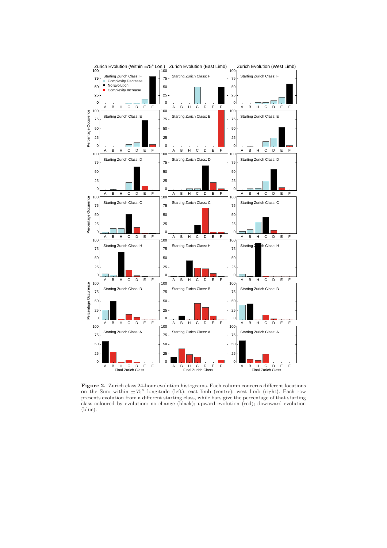

<span id="page-10-0"></span>Figure 2. Zurich class 24-hour evolution histograms. Each column concerns different locations on the Sun: within  $\pm 75^{\circ}$  longitude (left); east limb (centre); west limb (right). Each row presents evolution from a different starting class, while bars give the percentage of that starting class coloured by evolution: no change (black); upward evolution (red); downward evolution (blue).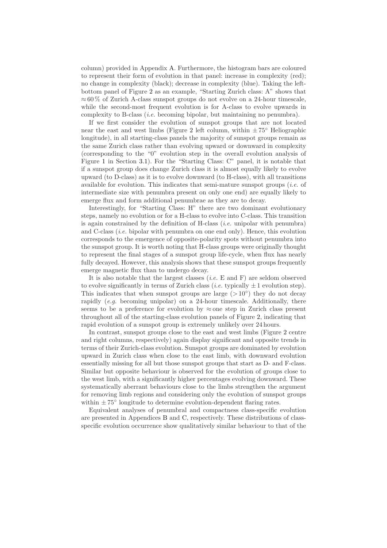column) provided in Appendix [A.](#page-17-0) Furthermore, the histogram bars are coloured to represent their form of evolution in that panel: increase in complexity (red); no change in complexity (black); decrease in complexity (blue). Taking the leftbottom panel of Figure [2](#page-10-0) as an example, "Starting Zurich class: A" shows that  $\approx 60\%$  of Zurich A-class sunspot groups do not evolve on a 24-hour timescale, while the second-most frequent evolution is for A-class to evolve upwards in complexity to B-class (i.e. becoming bipolar, but maintaining no penumbra).

If we first consider the evolution of sunspot groups that are not located near the east and west limbs (Figure [2](#page-10-0) left column, within  $\pm 75^{\circ}$  Heliographic longitude), in all starting-class panels the majority of sunspot groups remain as the same Zurich class rather than evolving upward or downward in complexity (corresponding to the "0" evolution step in the overall evolution analysis of Figure [1](#page-7-0) in Section [3.1\)](#page-8-1). For the "Starting Class: C" panel, it is notable that if a sunspot group does change Zurich class it is almost equally likely to evolve upward (to D-class) as it is to evolve downward (to H-class), with all transitions available for evolution. This indicates that semi-mature sunspot groups (*i.e.* of intermediate size with penumbra present on only one end) are equally likely to emerge flux and form additional penumbrae as they are to decay.

Interestingly, for "Starting Class: H" there are two dominant evolutionary steps, namely no evolution or for a H-class to evolve into C-class. This transition is again constrained by the definition of H-class  $(i.e.$  unipolar with penumbra) and C-class (i.e. bipolar with penumbra on one end only). Hence, this evolution corresponds to the emergence of opposite-polarity spots without penumbra into the sunspot group. It is worth noting that H-class groups were originally thought to represent the final stages of a sunspot group life-cycle, when flux has nearly fully decayed. However, this analysis shows that these sunspot groups frequently emerge magnetic flux than to undergo decay.

It is also notable that the largest classes  $(i.e. \, E \text{ and } F)$  are seldom observed to evolve significantly in terms of Zurich class (*i.e.* typically  $\pm 1$  evolution step). This indicates that when sunspot groups are large  $(>10^{\circ})$  they do not decay rapidly  $(e, q)$ , becoming unipolar) on a 24-hour timescale. Additionally, there seems to be a preference for evolution by  $\approx$  one step in Zurich class present throughout all of the starting-class evolution panels of Figure [2,](#page-10-0) indicating that rapid evolution of a sunspot group is extremely unlikely over 24 hours.

In contrast, sunspot groups close to the east and west limbs (Figure [2](#page-10-0) centre and right columns, respectively) again display significant and opposite trends in terms of their Zurich-class evolution. Sunspot groups are dominated by evolution upward in Zurich class when close to the east limb, with downward evolution essentially missing for all but those sunspot groups that start as D- and F-class. Similar but opposite behaviour is observed for the evolution of groups close to the west limb, with a significantly higher percentages evolving downward. These systematically aberrant behaviours close to the limbs strengthen the argument for removing limb regions and considering only the evolution of sunspot groups within  $\pm 75^{\circ}$  longitude to determine evolution-dependent flaring rates.

Equivalent analyses of penumbral and compactness class-specific evolution are presented in Appendices [B](#page-21-0) and [C,](#page-26-0) respectively. These distributions of classspecific evolution occurrence show qualitatively similar behaviour to that of the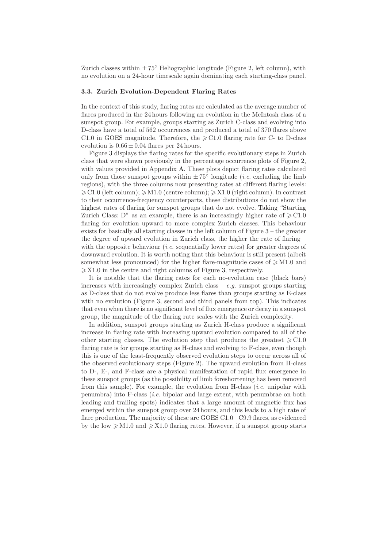Zurich classes within  $\pm 75^{\circ}$  Heliographic longitude (Figure [2,](#page-10-0) left column), with no evolution on a 24-hour timescale again dominating each starting-class panel.

#### <span id="page-12-0"></span>3.3. Zurich Evolution-Dependent Flaring Rates

In the context of this study, flaring rates are calculated as the average number of flares produced in the 24 hours following an evolution in the McIntosh class of a sunspot group. For example, groups starting as Zurich C-class and evolving into D-class have a total of 562 occurrences and produced a total of 370 flares above C1.0 in GOES magnitude. Therefore, the  $\geq$  C1.0 flaring rate for C- to D-class evolution is  $0.66 \pm 0.04$  flares per 24 hours.

Figure [3](#page-13-0) displays the flaring rates for the specific evolutionary steps in Zurich class that were shown previously in the percentage occurrence plots of Figure [2,](#page-10-0) with values provided in Appendix [A.](#page-17-0) These plots depict flaring rates calculated only from those sunspot groups within  $\pm 75^{\circ}$  longitude (*i.e.* excluding the limb regions), with the three columns now presenting rates at different flaring levels:  $\geq C1.0$  (left column);  $\geqslant M1.0$  (centre column);  $\geqslant X1.0$  (right column). In contrast to their occurrence-frequency counterparts, these distributions do not show the highest rates of flaring for sunspot groups that do not evolve. Taking "Starting Zurich Class: D" as an example, there is an increasingly higher rate of  $\geqslant C1.0$ flaring for evolution upward to more complex Zurich classes. This behaviour exists for basically all starting classes in the left column of Figure [3](#page-13-0) – the greater the degree of upward evolution in Zurich class, the higher the rate of flaring – with the opposite behaviour  $(i.e.$  sequentially lower rates) for greater degrees of downward evolution. It is worth noting that this behaviour is still present (albeit somewhat less pronounced) for the higher flare-magnitude cases of  $\geqslant M1.0$  and  $\geq$  X1.0 in the centre and right columns of Figure [3,](#page-13-0) respectively.

It is notable that the flaring rates for each no-evolution case (black bars) increases with increasingly complex Zurich class –  $e.g.$  sunspot groups starting as D-class that do not evolve produce less flares than groups starting as E-class with no evolution (Figure [3,](#page-13-0) second and third panels from top). This indicates that even when there is no significant level of flux emergence or decay in a sunspot group, the magnitude of the flaring rate scales with the Zurich complexity.

In addition, sunspot groups starting as Zurich H-class produce a significant increase in flaring rate with increasing upward evolution compared to all of the other starting classes. The evolution step that produces the greatest  $\geq C1.0$ flaring rate is for groups starting as H-class and evolving to F-class, even though this is one of the least-frequently observed evolution steps to occur across all of the observed evolutionary steps (Figure [2\)](#page-10-0). The upward evolution from H-class to D-, E-, and F-class are a physical manifestation of rapid flux emergence in these sunspot groups (as the possibility of limb foreshortening has been removed from this sample). For example, the evolution from H-class  $(i.e.$  unipolar with penumbra) into F-class (i.e. bipolar and large extent, with penumbrae on both leading and trailing spots) indicates that a large amount of magnetic flux has emerged within the sunspot group over 24 hours, and this leads to a high rate of flare production. The majority of these are GOES C1.0 – C9.9 flares, as evidenced by the low  $\geqslant M1.0$  and  $\geqslant X1.0$  flaring rates. However, if a sunspot group starts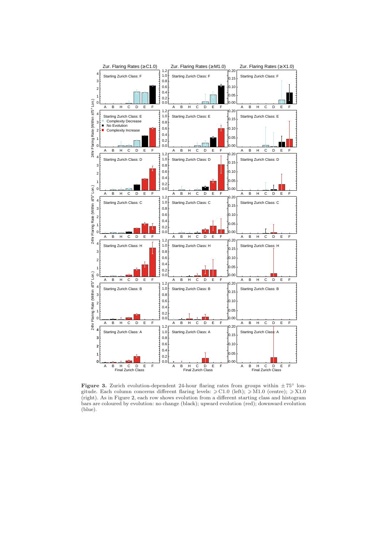

<span id="page-13-0"></span>Figure 3. Zurich evolution-dependent 24-hour flaring rates from groups within  $\pm 75^{\circ}$  longitude. Each column concerns different flaring levels:  $\geq C1.0$  (left);  $\geq M1.0$  (centre);  $\geq X1.0$ (right). As in Figure [2,](#page-10-0) each row shows evolution from a different starting class and histogram bars are coloured by evolution: no change (black); upward evolution (red); downward evolution (blue).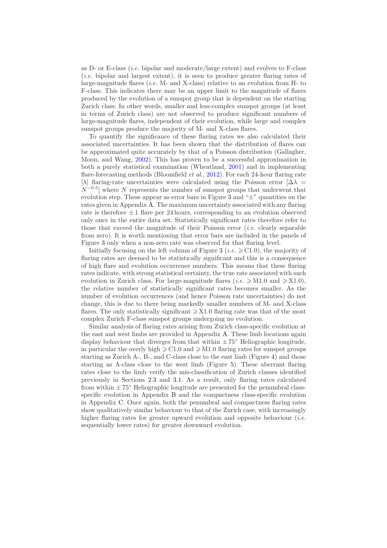as D- or E-class *(i.e.* bipolar and moderate/large extent) and evolves to F-class (i.e. bipolar and largest extent), it is seen to produce greater flaring rates of large-magnitude flares (*i.e.* M- and X-class) relative to an evolution from H- to F-class. This indicates there may be an upper limit to the magnitude of flares produced by the evolution of a sunspot group that is dependent on the starting Zurich class. In other words, smaller and less-complex sunspot groups (at least in terms of Zurich class) are not observed to produce significant numbers of large-magnitude flares, independent of their evolution, while large and complex sunspot groups produce the majority of M- and X-class flares.

To quantify the significance of these flaring rates we also calculated their associated uncertainties. It has been shown that the distribution of flares can be approximated quite accurately by that of a Poisson distribution (Gallagher, Moon, and Wang, [2002](#page-30-15)). This has proven to be a successful approximation in both a purely statistical examination (Wheatland, [2001\)](#page-30-24) and in implementing flare-forecasting methods (Bloomfield *et al.*, [2012\)](#page-30-16). For each 24-hour flaring rate [ $\lambda$ ] flaring-rate uncertainties were calculated using the Poisson error [ $\Delta \lambda$  =  $N^{-0.5}$ ] where N represents the number of sunspot groups that underwent that evolution step. These appear as error bars in Figure [3](#page-13-0) and " $\pm$ " quantities on the rates given in Appendix [A.](#page-17-0) The maximum uncertainty associated with any flaring rate is therefore  $\pm 1$  flare per 24 hours, corresponding to an evolution observed only once in the entire data set. Statistically significant rates therefore refer to those that exceed the magnitude of their Poisson error (i.e. clearly separable from zero). It is worth mentioning that error bars are included in the panels of Figure [3](#page-13-0) only when a non-zero rate was observed for that flaring level.

Initially focusing on the left column of Figure [3](#page-13-0) (*i.e.*  $\geq$  C1.0), the majority of flaring rates are deemed to be statistically significant and this is a consequence of high flare and evolution occurrence numbers. This means that these flaring rates indicate, with strong statistical certainty, the true rate associated with such evolution in Zurich class. For large-magnitude flares (*i.e.*  $\geq$  M1.0 and  $\geq$  X1.0), the relative number of statistically significant rates becomes smaller. As the number of evolution occurrences (and hence Poisson rate uncertainties) do not change, this is due to there being markedly smaller numbers of M- and X-class flares. The only statistically significant  $\geqslant$  X1.0 flaring rate was that of the most complex Zurich F-class sunspot groups undergoing no evolution.

Similar analysis of flaring rates arising from Zurich class-specific evolution at the east and west limbs are provided in Appendix [A.](#page-17-0) These limb locations again display behaviour that diverges from that within  $\pm 75^{\circ}$  Heliographic longitude, in particular the overly high  $\geq C1.0$  and  $\geq M1.0$  flaring rates for sunspot groups starting as Zurich A-, B-, and C-class close to the east limb (Figure [4\)](#page-19-0) and those starting as A-class close to the west limb (Figure [5\)](#page-20-0). These aberrant flaring rates close to the limb verify the mis-classification of Zurich classes identified previously in Sections [2.3](#page-6-1) and [3.1.](#page-8-1) As a result, only flaring rates calculated from within  $\pm 75^{\circ}$  Heliographic longitude are presented for the penumbral classspecific evolution in Appendix [B](#page-21-0) and the compactness class-specific evolution in Appendix [C.](#page-26-0) Once again, both the penumbral and compactness flaring rates show qualitatively similar behaviour to that of the Zurich case, with increasingly higher flaring rates for greater upward evolution and opposite behaviour *(i.e.*) sequentially lower rates) for greater downward evolution.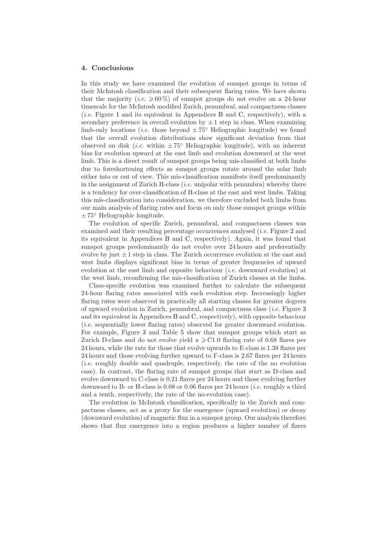## <span id="page-15-0"></span>4. Conclusions

In this study we have examined the evolution of sunspot groups in terms of their McIntosh classification and their subsequent flaring rates. We have shown that the majority (*i.e.*  $\geq 60\%$ ) of sunspot groups do not evolve on a 24-hour timescale for the McIntosh modified Zurich, penumbral, and compactness classes (i.e. Figure [1](#page-7-0) and its equivalent in Appendices [B](#page-21-0) and [C,](#page-26-0) respectively), with a secondary preference in overall evolution by  $\pm 1$  step in class. When examining limb-only locations (*i.e.* those beyond  $\pm 75^{\circ}$  Heliographic longitude) we found that the overall evolution distributions show significant deviation from that observed on disk (*i.e.* within  $\pm 75^{\circ}$  Heliographic longitude), with an inherent bias for evolution upward at the east limb and evolution downward at the west limb. This is a direct result of sunspot groups being mis-classified at both limbs due to foreshortening effects as sunspot groups rotate around the solar limb either into or out of view. This mis-classification manifests itself predominantly in the assignment of Zurich H-class  $(i.e.$  unipolar with penumbra) whereby there is a tendency for over-classification of H-class at the east and west limbs. Taking this mis-classification into consideration, we therefore excluded both limbs from our main analysis of flaring rates and focus on only those sunspot groups within ± 75◦ Heliographic longitude.

The evolution of specific Zurich, penumbral, and compactness classes was examined and their resulting percentage occurrences analysed (i.e. Figure [2](#page-10-0) and its equivalent in Appendices [B](#page-21-0) and [C,](#page-26-0) respectively). Again, it was found that sunspot groups predominantly do not evolve over 24 hours and preferentially evolve by just  $\pm 1$  step in class. The Zurich occurrence evolution at the east and west limbs displays significant bias in terms of greater frequencies of upward evolution at the east limb and opposite behaviour *(i.e.* downward evolution) at the west limb, reconfirming the mis-classification of Zurich classes at the limbs.

Class-specific evolution was examined further to calculate the subsequent 24-hour flaring rates associated with each evolution step. Increasingly higher flaring rates were observed in practically all starting classes for greater degrees of upward evolution in Zurich, penumbral, and compactness class  $(i.e.$  Figure [3](#page-13-0) and its equivalent in Appendices [B](#page-21-0) and [C,](#page-26-0) respectively), with opposite behaviour (i.e. sequentially lower flaring rates) observed for greater downward evolution. For example, Figure [3](#page-13-0) and Table [5](#page-18-0) show that sunspot groups which start as Zurich D-class and do not evolve yield a  $\geqslant$  C1.0 flaring rate of 0.68 flares per 24 hours, while the rate for those that evolve upwards to E-class is 1.38 flares per 24 hours and those evolving further upward to F-class is 2.67 flares per 24 hours (i.e. roughly double and quadruple, respectively, the rate of the no evolution case). In contrast, the flaring rate of sunspot groups that start as D-class and evolve downward to C-class is 0.21 flares per 24 hours and those evolving further downward to B- or H-class is  $0.08$  or  $0.06$  flares per 24 hours *(i.e.* roughly a third and a tenth, respectively, the rate of the no-evolution case).

The evolution in McIntosh classification, specifically in the Zurich and compactness classes, act as a proxy for the emergence (upward evolution) or decay (downward evolution) of magnetic flux in a sunspot group. Our analysis therefore shows that flux emergence into a region produces a higher number of flares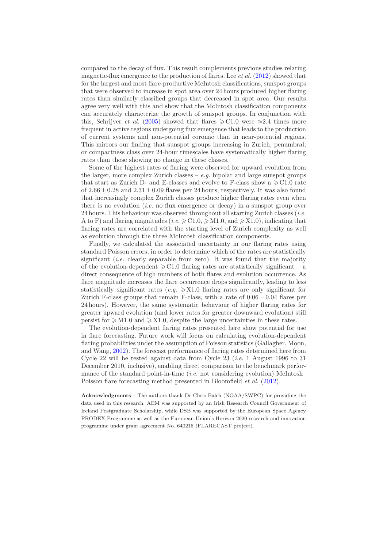compared to the decay of flux. This result complements previous studies relating magnetic-flux emergence to the production of flares. Lee  $et al. (2012)$  $et al. (2012)$  showed that for the largest and most flare-productive McIntosh classifications, sunspot groups that were observed to increase in spot area over 24 hours produced higher flaring rates than similarly classified groups that decreased in spot area. Our results agree very well with this and show that the McIntosh classification components can accurately characterize the growth of sunspot groups. In conjunction with this, Schrijver *et al.* [\(2005](#page-30-19)) showed that flares  $\geq C1.0$  were  $\approx 2.4$  times more frequent in active regions undergoing flux emergence that leads to the production of current systems and non-potential coronae than in near-potential regions. This mirrors our finding that sunspot groups increasing in Zurich, penumbral, or compactness class over 24-hour timescales have systematically higher flaring rates than those showing no change in these classes.

Some of the highest rates of flaring were observed for upward evolution from the larger, more complex Zurich classes –  $e.g.$  bipolar and large sunspot groups that start as Zurich D- and E-classes and evolve to F-class show a  $\geq C1.0$  rate of  $2.66 \pm 0.28$  and  $2.31 \pm 0.09$  flares per 24 hours, respectively. It was also found that increasingly complex Zurich classes produce higher flaring rates even when there is no evolution (*i.e.* no flux emergence or decay) in a sunspot group over 24 hours. This behaviour was observed throughout all starting Zurich classes *(i.e.*) A to F) and flaring magnitudes (*i.e.*  $\geq$  C1.0,  $\geq$  M1.0, and  $\geq$  X1.0), indicating that flaring rates are correlated with the starting level of Zurich complexity as well as evolution through the three McIntosh classification components.

Finally, we calculated the associated uncertainty in our flaring rates using standard Poisson errors, in order to determine which of the rates are statistically significant *(i.e.* clearly separable from zero). It was found that the majority of the evolution-dependent  $\geq C1.0$  flaring rates are statistically significant – a direct consequence of high numbers of both flares and evolution occurrence. As flare magnitude increases the flare occurrence drops significantly, leading to less statistically significant rates (e.g.  $\geq$  X1.0 flaring rates are only significant for Zurich F-class groups that remain F-class, with a rate of  $0.06 \pm 0.04$  flares per 24 hours). However, the same systematic behaviour of higher flaring rates for greater upward evolution (and lower rates for greater downward evolution) still persist for  $\geqslant M1.0$  and  $\geqslant X1.0$ , despite the large uncertainties in these rates.

The evolution-dependent flaring rates presented here show potential for use in flare forecasting. Future work will focus on calculating evolution-dependent flaring probabilities under the assumption of Poisson statistics (Gallagher, Moon, and Wang, [2002\)](#page-30-15). The forecast performance of flaring rates determined here from Cycle 22 will be tested against data from Cycle 23 (i.e. 1 August 1996 to 31 December 2010, inclusive), enabling direct comparison to the benchmark performance of the standard point-in-time (*i.e.* not considering evolution) McIntosh-Poisson flare forecasting method presented in Bloomfield *et al.* [\(2012](#page-30-16)).

Acknowledgments The authors thank Dr Chris Balch (NOAA/SWPC) for providing the data used in this research. AEM was supported by an Irish Research Council Government of Ireland Postgraduate Scholarship, while DSB was supported by the European Space Agency PRODEX Programme as well as the European Union's Horizon 2020 research and innovation programme under grant agreement No. 640216 (FLARECAST project).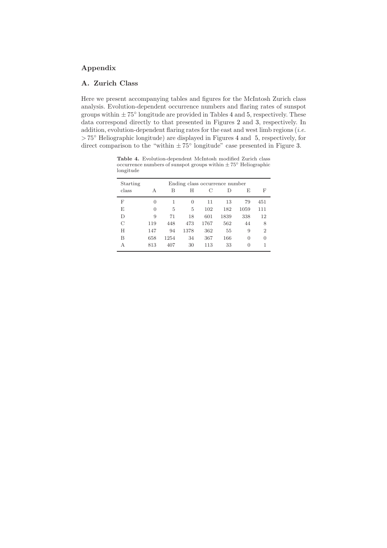# Appendix

# <span id="page-17-0"></span>A. Zurich Class

Here we present accompanying tables and figures for the McIntosh Zurich class analysis. Evolution-dependent occurrence numbers and flaring rates of sunspot groups within  $\pm 75^{\circ}$  longitude are provided in Tables [4](#page-17-1) and [5,](#page-18-0) respectively. These data correspond directly to that presented in Figures [2](#page-10-0) and [3,](#page-13-0) respectively. In addition, evolution-dependent flaring rates for the east and west limb regions  $(i.e.$ > 75◦ Heliographic longitude) are displayed in Figures [4](#page-19-0) and [5,](#page-20-0) respectively, for direct comparison to the "within  $\pm 75^{\circ}$  longitude" case presented in Figure [3.](#page-13-0)

| Starting<br>Ending class occurrence number |          |      |      |      |      |          |                |
|--------------------------------------------|----------|------|------|------|------|----------|----------------|
| class                                      | А        | В    | H    | C    | D    | E        | F              |
| F                                          | $\Omega$ | 1    | 0    | 11   | 13   | 79       | 451            |
| E                                          | 0        | 5    | 5    | 102  | 182  | 1059     | 111            |
| D                                          | 9        | 71   | 18   | 601  | 1839 | 338      | 12             |
| С                                          | 119      | 448  | 473  | 1767 | 562  | 44       | 8              |
| Н                                          | 147      | 94   | 1378 | 362  | 55   | 9        | $\overline{2}$ |
| В                                          | 658      | 1254 | 34   | 367  | 166  | $\Omega$ | $\Omega$       |
| А                                          | 813      | 407  | 30   | 113  | 33   | $\theta$ |                |

<span id="page-17-1"></span>Table 4. Evolution-dependent McIntosh modified Zurich class occurrence numbers of sunspot groups within  $\pm 75^{\circ}$  Heliographic longitude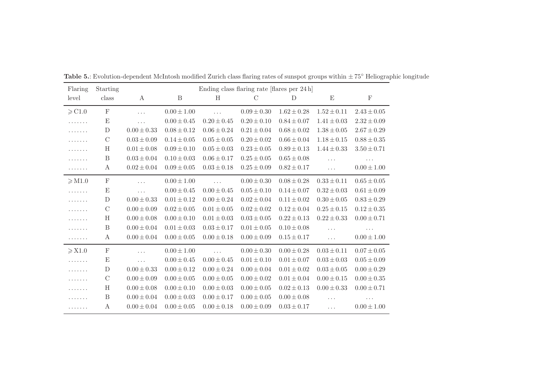| Flaring          | Starting      | Ending class flaring rate [flares per 24 h] |                 |                 |                 |                 |                 |                 |
|------------------|---------------|---------------------------------------------|-----------------|-----------------|-----------------|-----------------|-----------------|-----------------|
| level            | class         | A                                           | B               | H               | $\mathcal{C}$   | D               | Ε               | $\mathbf{F}$    |
| $\geqslant$ C1.0 | $\mathbf F$   | $\ddotsc$                                   | $0.00 \pm 1.00$ | $\ldots$        | $0.09 \pm 0.30$ | $1.62 \pm 0.28$ | $1.52 \pm 0.11$ | $2.43 \pm 0.05$ |
| .                | $\mathbf E$   | $\ldots$                                    | $0.00 \pm 0.45$ | $0.20 \pm 0.45$ | $0.20 \pm 0.10$ | $0.84 \pm 0.07$ | $1.41 \pm 0.03$ | $2.32 \pm 0.09$ |
| .                | D             | $0.00 \pm 0.33$                             | $0.08 \pm 0.12$ | $0.06 \pm 0.24$ | $0.21 \pm 0.04$ | $0.68 \pm 0.02$ | $1.38 \pm 0.05$ | $2.67 \pm 0.29$ |
| .                | $\mathcal{C}$ | $0.03 \pm 0.09$                             | $0.14 \pm 0.05$ | $0.05 \pm 0.05$ | $0.20 \pm 0.02$ | $0.66 \pm 0.04$ | $1.18 \pm 0.15$ | $0.88 \pm 0.35$ |
| .                | H             | $0.01 \pm 0.08$                             | $0.09 \pm 0.10$ | $0.05 \pm 0.03$ | $0.23 \pm 0.05$ | $0.89 \pm 0.13$ | $1.44 \pm 0.33$ | $3.50 \pm 0.71$ |
| .                | $\, {\bf B}$  | $0.03 \pm 0.04$                             | $0.10 \pm 0.03$ | $0.06 \pm 0.17$ | $0.25 \pm 0.05$ | $0.65 \pm 0.08$ | $\cdots$        | $\ldots$        |
| .                | Α             | $0.02 \pm 0.04$                             | $0.09 \pm 0.05$ | $0.03 \pm 0.18$ | $0.25 \pm 0.09$ | $0.82 \pm 0.17$ | $\ldots$        | $0.00 \pm 1.00$ |
| $\geqslant M1.0$ | $\mathbf F$   | $\cdots$                                    | $0.00 \pm 1.00$ | $\cdots$        | $0.00 \pm 0.30$ | $0.08 \pm 0.28$ | $0.33 \pm 0.11$ | $0.65 \pm 0.05$ |
| .                | E             | $\ldots$                                    | $0.00 \pm 0.45$ | $0.00 \pm 0.45$ | $0.05 \pm 0.10$ | $0.14 \pm 0.07$ | $0.32 \pm 0.03$ | $0.61 \pm 0.09$ |
| .                | D             | $0.00 \pm 0.33$                             | $0.01 \pm 0.12$ | $0.00 \pm 0.24$ | $0.02 \pm 0.04$ | $0.11 \pm 0.02$ | $0.30 \pm 0.05$ | $0.83 \pm 0.29$ |
| .                | $\mathcal{C}$ | $0.00 \pm 0.09$                             | $0.02 \pm 0.05$ | $0.01 \pm 0.05$ | $0.02 \pm 0.02$ | $0.12 \pm 0.04$ | $0.25\pm0.15$   | $0.12 \pm 0.35$ |
| .                | Η             | $0.00 \pm 0.08$                             | $0.00 \pm 0.10$ | $0.01 \pm 0.03$ | $0.03 \pm 0.05$ | $0.22 \pm 0.13$ | $0.22 \pm 0.33$ | $0.00 \pm 0.71$ |
| .                | $\, {\bf B}$  | $0.00 \pm 0.04$                             | $0.01 \pm 0.03$ | $0.03 \pm 0.17$ | $0.01 \pm 0.05$ | $0.10 \pm 0.08$ | $\cdots$        | $\cdots$        |
| .                | A             | $0.00 \pm 0.04$                             | $0.00 \pm 0.05$ | $0.00 \pm 0.18$ | $0.00 \pm 0.09$ | $0.15 \pm 0.17$ | $\ldots$        | $0.00 \pm 1.00$ |
| $\geqslant$ X1.0 | $\mathbf F$   | $\ldots$                                    | $0.00 \pm 1.00$ | $\sim$ . $\sim$ | $0.00 \pm 0.30$ | $0.00 \pm 0.28$ | $0.03 \pm 0.11$ | $0.07 \pm 0.05$ |
| .                | E             | $\ldots$                                    | $0.00 \pm 0.45$ | $0.00 \pm 0.45$ | $0.01 \pm 0.10$ | $0.01 \pm 0.07$ | $0.03 \pm 0.03$ | $0.05 \pm 0.09$ |
| .                | D             | $0.00 \pm 0.33$                             | $0.00 \pm 0.12$ | $0.00 \pm 0.24$ | $0.00 \pm 0.04$ | $0.01 \pm 0.02$ | $0.03 \pm 0.05$ | $0.00 \pm 0.29$ |
| .                | $\mathcal{C}$ | $0.00 \pm 0.09$                             | $0.00 \pm 0.05$ | $0.00 \pm 0.05$ | $0.00 \pm 0.02$ | $0.01 \pm 0.04$ | $0.00 \pm 0.15$ | $0.00 \pm 0.35$ |
| .                | Η             | $0.00 \pm 0.08$                             | $0.00 \pm 0.10$ | $0.00 \pm 0.03$ | $0.00 \pm 0.05$ | $0.02 \pm 0.13$ | $0.00 \pm 0.33$ | $0.00 \pm 0.71$ |
| .                | $\, {\bf B}$  | $0.00 \pm 0.04$                             | $0.00 \pm 0.03$ | $0.00 \pm 0.17$ | $0.00 \pm 0.05$ | $0.00 \pm 0.08$ | $\ldots$        | $\cdots$        |
| .                | Α             | $0.00 \pm 0.04$                             | $0.00 \pm 0.05$ | $0.00 \pm 0.18$ | $0.00 \pm 0.09$ | $0.03 \pm 0.17$ | $\cdots$        | $0.00 \pm 1.00$ |

<span id="page-18-0"></span>**Table 5.:** Evolution-dependent McIntosh modified Zurich class flaring rates of sunspot groups within  $\pm 75^{\circ}$  Heliographic longitude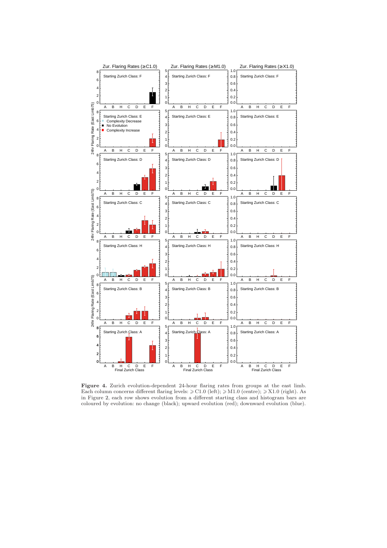

<span id="page-19-0"></span>Figure 4. Zurich evolution-dependent 24-hour flaring rates from groups at the east limb. Each column concerns different flaring levels:  $\geq$  C1.0 (left);  $\geq$  M1.0 (centre);  $\geq$  X1.0 (right). As in Figure [2,](#page-10-0) each row shows evolution from a different starting class and histogram bars are coloured by evolution: no change (black); upward evolution (red); downward evolution (blue).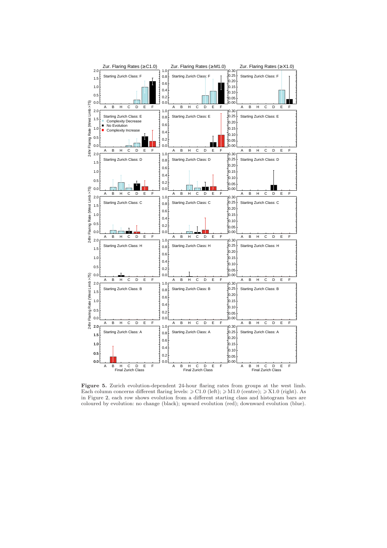

<span id="page-20-0"></span>Figure 5. Zurich evolution-dependent 24-hour flaring rates from groups at the west limb. Each column concerns different flaring levels:  $\geq$  C1.0 (left);  $\geq$  M1.0 (centre);  $\geq$  X1.0 (right). As in Figure [2,](#page-10-0) each row shows evolution from a different starting class and histogram bars are coloured by evolution: no change (black); upward evolution (red); downward evolution (blue).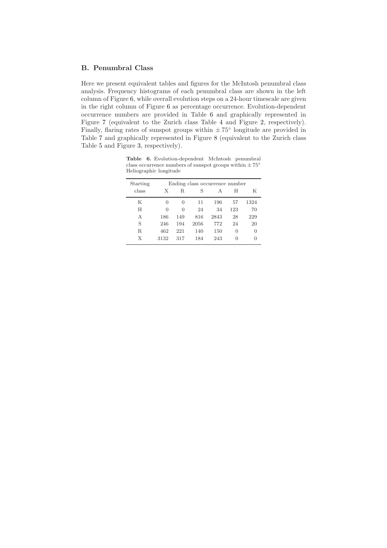# <span id="page-21-0"></span>B. Penumbral Class

Here we present equivalent tables and figures for the McIntosh penumbral class analysis. Frequency histograms of each penumbral class are shown in the left column of Figure [6,](#page-22-0) while overall evolution steps on a 24-hour timescale are given in the right column of Figure [6](#page-22-0) as percentage occurrence. Evolution-dependent occurrence numbers are provided in Table [6](#page-21-1) and graphically represented in Figure [7](#page-23-0) (equivalent to the Zurich class Table [4](#page-17-1) and Figure [2,](#page-10-0) respectively). Finally, flaring rates of sunspot groups within  $\pm 75^{\circ}$  longitude are provided in Table [7](#page-24-0) and graphically represented in Figure [8](#page-25-0) (equivalent to the Zurich class Table [5](#page-18-0) and Figure [3,](#page-13-0) respectively).

class occurrence numbers of sunspot groups within  $\pm\,75^{\circ}$ Heliographic longitude Starting Ending class occurrence number class X R S A H K K 0 0 11 196 57 1324

<span id="page-21-1"></span>Table 6. Evolution-dependent McIntosh penumbral

| class       | Х    | R        | S    |      | H   | K        |
|-------------|------|----------|------|------|-----|----------|
| Κ           | 0    | $\theta$ | 11   | 196  | 57  | 1324     |
| H           | 0    | $\Omega$ | 24   | 34   | 123 | 70       |
| А           | 186  | 149      | 816  | 2843 | 28  | 229      |
| S           | 246  | 194      | 2056 | 772  | 24  | 20       |
| $\mathbf R$ | 462  | 221      | 140  | 150  | 0   | 0        |
| X           | 3132 | 317      | 184  | 243  | 0   | $\Omega$ |
|             |      |          |      |      |     |          |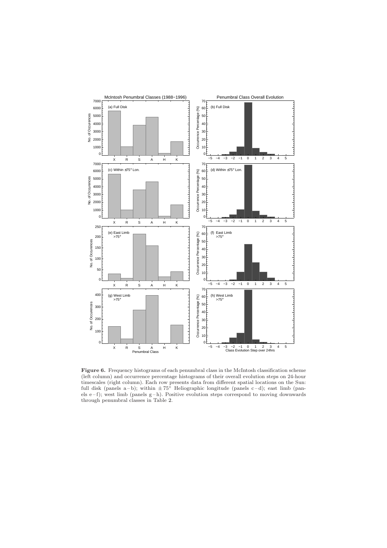

<span id="page-22-0"></span>Figure 6. Frequency histograms of each penumbral class in the McIntosh classification scheme (left column) and occurrence percentage histograms of their overall evolution steps on 24-hour timescales (right column). Each row presents data from different spatial locations on the Sun: full disk (panels a-b); within  $\pm 75^\circ$  Heliographic longitude (panels c-d); east limb (panels e-f); west limb (panels  $g-h$ ). Positive evolution steps correspond to moving downwards through penumbral classes in Table [2.](#page-5-1)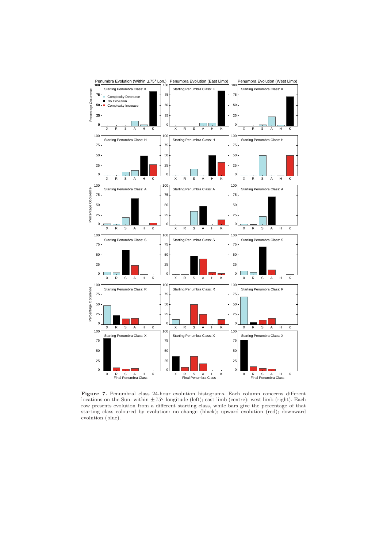

<span id="page-23-0"></span>Figure 7. Penumbral class 24-hour evolution histograms. Each column concerns different locations on the Sun: within  $\pm 75^{\circ}$  longitude (left); east limb (centre); west limb (right). Each row presents evolution from a different starting class, while bars give the percentage of that starting class coloured by evolution: no change (black); upward evolution (red); downward evolution (blue).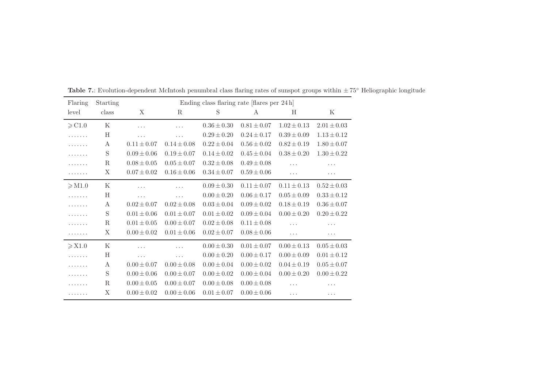| Flaring          | Starting     |                 |                 | Ending class flaring rate [flares per 24 h] |                 |                 |                 |
|------------------|--------------|-----------------|-----------------|---------------------------------------------|-----------------|-----------------|-----------------|
| level            | class        | X               | R               | S                                           | A               | Н               | Κ               |
| $\geqslant$ C1.0 | Κ            | $\cdots$        | .               | $0.36 \pm 0.30$                             | $0.81 \pm 0.07$ | $1.02 \pm 0.13$ | $2.01 \pm 0.03$ |
| .                | H            | $\cdots$        | $\ldots$        | $0.29\pm0.20$                               | $0.24 \pm 0.17$ | $0.39 \pm 0.09$ | $1.13 \pm 0.12$ |
| .                | А            | $0.11 \pm 0.07$ | $0.14 \pm 0.08$ | $0.22 \pm 0.04$                             | $0.56 \pm 0.02$ | $0.82 \pm 0.19$ | $1.80 \pm 0.07$ |
| .                | S            | $0.09 \pm 0.06$ | $0.19 \pm 0.07$ | $0.14 \pm 0.02$                             | $0.45 \pm 0.04$ | $0.38 \pm 0.20$ | $1.30 \pm 0.22$ |
| .                | R            | $0.08 \pm 0.05$ | $0.05 \pm 0.07$ | $0.32 \pm 0.08$                             | $0.49 \pm 0.08$ | $\cdots$        | .               |
| .                | X            | $0.07 \pm 0.02$ | $0.16 \pm 0.06$ | $0.34 \pm 0.07$                             | $0.59 \pm 0.06$ | .               | .               |
| $\geqslant M1.0$ | $\mathbf K$  | $\cdots$        | $\cdots$        | $0.09 \pm 0.30$                             | $0.11 \pm 0.07$ | $0.11 \pm 0.13$ | $0.52 \pm 0.03$ |
| .                | H            | $\cdots$        | $\cdots$        | $0.00 \pm 0.20$                             | $0.06 \pm 0.17$ | $0.05 \pm 0.09$ | $0.33 \pm 0.12$ |
| .                | $\mathsf{A}$ | $0.02 \pm 0.07$ | $0.02\pm0.08$   | $0.03 \pm 0.04$                             | $0.09 \pm 0.02$ | $0.18 \pm 0.19$ | $0.36 \pm 0.07$ |
| .                | S            | $0.01 \pm 0.06$ | $0.01 \pm 0.07$ | $0.01 \pm 0.02$                             | $0.09 \pm 0.04$ | $0.00 \pm 0.20$ | $0.20 \pm 0.22$ |
| .                | $\mathbf R$  | $0.01 \pm 0.05$ | $0.00 \pm 0.07$ | $0.02 \pm 0.08$                             | $0.11 \pm 0.08$ | $\cdots$        | .               |
| .                | X            | $0.00 \pm 0.02$ | $0.01 \pm 0.06$ | $0.02 \pm 0.07$                             | $0.08 \pm 0.06$ | $\cdots$        | .               |
| $\geqslant$ X1.0 | Κ            | $\cdots$        | .               | $0.00 \pm 0.30$                             | $0.01 \pm 0.07$ | $0.00 \pm 0.13$ | $0.05 \pm 0.03$ |
| .                | H            | $\cdots$        | $\cdots$        | $0.00 \pm 0.20$                             | $0.00 \pm 0.17$ | $0.00 \pm 0.09$ | $0.01 \pm 0.12$ |
| .                | A            | $0.00 \pm 0.07$ | $0.00 \pm 0.08$ | $0.00 \pm 0.04$                             | $0.00 \pm 0.02$ | $0.04 \pm 0.19$ | $0.05 \pm 0.07$ |
| .                | S            | $0.00 \pm 0.06$ | $0.00 \pm 0.07$ | $0.00 \pm 0.02$                             | $0.00 \pm 0.04$ | $0.00 \pm 0.20$ | $0.00 \pm 0.22$ |
| .                | $\mathbf R$  | $0.00 \pm 0.05$ | $0.00 \pm 0.07$ | $0.00 \pm 0.08$                             | $0.00 \pm 0.08$ | $\cdots$        | .               |
| .                | X            | $0.00 \pm 0.02$ | $0.00 \pm 0.06$ | $0.01\pm0.07$                               | $0.00 \pm 0.06$ | .               | .               |

<span id="page-24-0"></span>**Table 7.**: Evolution-dependent McIntosh penumbral class flaring rates of sunspot groups within  $\pm 75^{\circ}$  Heliographic longitude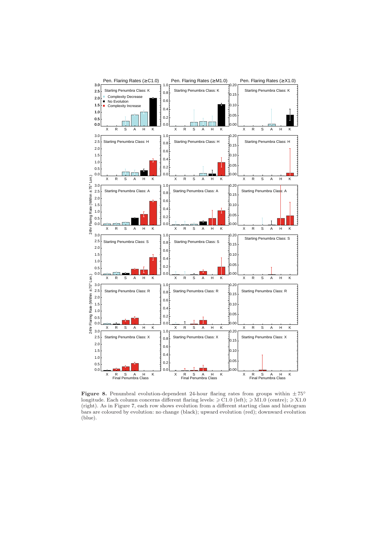

<span id="page-25-0"></span>Figure 8. Penumbral evolution-dependent 24-hour flaring rates from groups within  $\pm 75^{\circ}$ longitude. Each column concerns different flaring levels:  $\geq$  C1.0 (left);  $\geq$  M1.0 (centre);  $\geq$  X1.0 (right). As in Figure [7,](#page-23-0) each row shows evolution from a different starting class and histogram bars are coloured by evolution: no change (black); upward evolution (red); downward evolution (blue).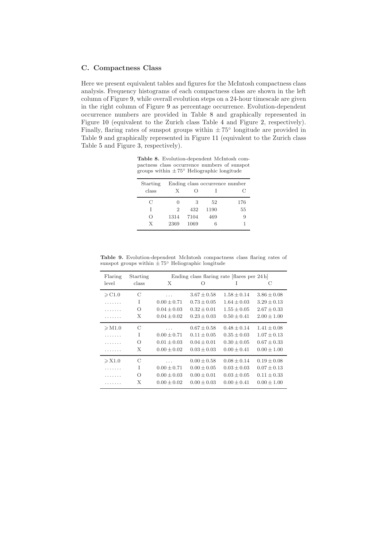# <span id="page-26-0"></span>C. Compactness Class

Here we present equivalent tables and figures for the McIntosh compactness class analysis. Frequency histograms of each compactness class are shown in the left column of Figure [9,](#page-27-0) while overall evolution steps on a 24-hour timescale are given in the right column of Figure [9](#page-27-0) as percentage occurrence. Evolution-dependent occurrence numbers are provided in Table [8](#page-26-1) and graphically represented in Figure [10](#page-28-0) (equivalent to the Zurich class Table [4](#page-17-1) and Figure [2,](#page-10-0) respectively). Finally, flaring rates of sunspot groups within  $\pm 75^{\circ}$  longitude are provided in Table [9](#page-26-2) and graphically represented in Figure [11](#page-29-0) (equivalent to the Zurich class Table [5](#page-18-0) and Figure [3,](#page-13-0) respectively).

<span id="page-26-1"></span>Table 8. Evolution-dependent McIntosh compactness class occurrence numbers of sunspot groups within  $\pm 75^{\circ}$  Heliographic longitude

| Starting<br>class | X            |      | Ending class occurrence number | €.  |
|-------------------|--------------|------|--------------------------------|-----|
|                   |              |      |                                |     |
| C                 | $\mathbf{0}$ | З    | 52                             | 176 |
|                   | 2            | 432  | 1190                           | 55  |
| $^{\rm ()}$       | 1314         | 7104 | 469                            | 9   |
| X                 | 2369         | 1069 |                                |     |
|                   |              |      |                                |     |

<span id="page-26-2"></span>Table 9. Evolution-dependent McIntosh compactness class flaring rates of sunspot groups within  $± 75°$  Heliographic longitude

| Flaring          | Starting | Ending class flaring rate [flares per 24 h] |                  |                 |                 |  |  |
|------------------|----------|---------------------------------------------|------------------|-----------------|-----------------|--|--|
| level            | class    | X                                           | $\left( \right)$ |                 | С               |  |  |
| $\geqslant$ C1.0 | С        | $\cdots$                                    | $3.67 \pm 0.58$  | $1.58 \pm 0.14$ | $3.86 \pm 0.08$ |  |  |
|                  | Ι        | $0.00 \pm 0.71$                             | $0.73 \pm 0.05$  | $1.64 \pm 0.03$ | $3.29 \pm 0.13$ |  |  |
| .                | Ω        | $0.04 \pm 0.03$                             | $0.32 + 0.01$    | $1.55 \pm 0.05$ | $2.67 + 0.33$   |  |  |
|                  | X        | $0.04 \pm 0.02$                             | $0.23 + 0.03$    | $0.50 + 0.41$   | $2.00 \pm 1.00$ |  |  |
| $\geqslant$ M1.0 | C        | .                                           | $0.67 \pm 0.58$  | $0.48 + 0.14$   | $1.41 + 0.08$   |  |  |
|                  | T        | $0.00 \pm 0.71$                             | $0.11 \pm 0.05$  | $0.35 + 0.03$   | $1.07 + 0.13$   |  |  |
|                  | $\Omega$ | $0.01 \pm 0.03$                             | $0.04 + 0.01$    | $0.30 + 0.05$   | $0.67 + 0.33$   |  |  |
|                  | X        | $0.00 \pm 0.02$                             | $0.03 \pm 0.03$  | $0.00 \pm 0.41$ | $0.00 \pm 1.00$ |  |  |
| $\geqslant$ X1.0 | С        | .                                           | $0.00 \pm 0.58$  | $0.08 \pm 0.14$ | $0.19 \pm 0.08$ |  |  |
|                  | T        | $0.00 \pm 0.71$                             | $0.00 \pm 0.05$  | $0.03 \pm 0.03$ | $0.07 \pm 0.13$ |  |  |
|                  | O        | $0.00 \pm 0.03$                             | $0.00 + 0.01$    | $0.03 + 0.05$   | $0.11 \pm 0.33$ |  |  |
|                  | X        | $0.00 \pm 0.02$                             | $0.00 + 0.03$    | $0.00 + 0.41$   | $0.00 \pm 1.00$ |  |  |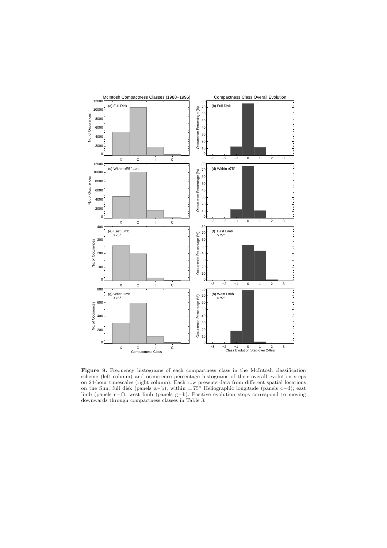

<span id="page-27-0"></span>Figure 9. Frequency histograms of each compactness class in the McIntosh classification scheme (left column) and occurrence percentage histograms of their overall evolution steps on 24-hour timescales (right column). Each row presents data from different spatial locations on the Sun: full disk (panels a-b); within  $\pm 75^{\circ}$  Heliographic longitude (panels c-d); east limb (panels e-f); west limb (panels  $g-h$ ). Positive evolution steps correspond to moving downwards through compactness classes in Table [3.](#page-5-2)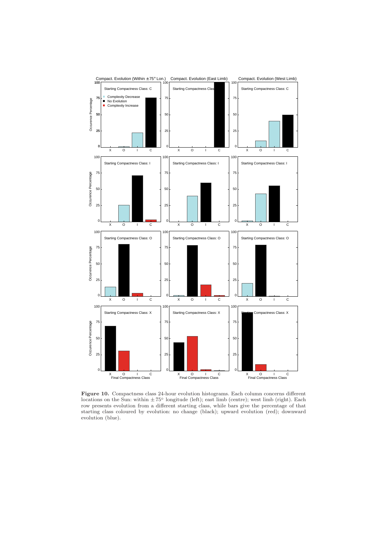

<span id="page-28-0"></span>Figure 10. Compactness class 24-hour evolution histograms. Each column concerns different locations on the Sun: within  $\pm 75^{\circ}$  longitude (left); east limb (centre); west limb (right). Each row presents evolution from a different starting class, while bars give the percentage of that starting class coloured by evolution: no change (black); upward evolution (red); downward evolution (blue).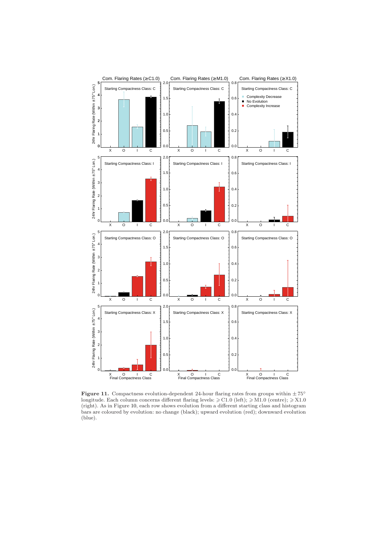

<span id="page-29-0"></span>Figure 11. Compactness evolution-dependent 24-hour flaring rates from groups within  $\pm 75^{\circ}$ longitude. Each column concerns different flaring levels:  $\geq$  C1.0 (left);  $\geq$  M1.0 (centre);  $\geq$  X1.0 (right). As in Figure [10,](#page-28-0) each row shows evolution from a different starting class and histogram bars are coloured by evolution: no change (black); upward evolution (red); downward evolution (blue).